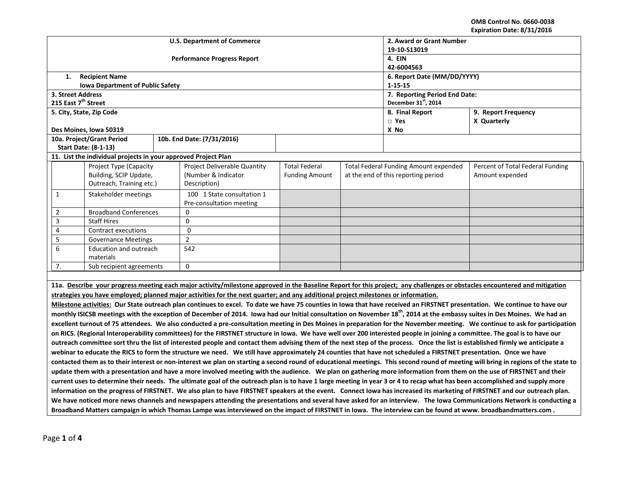**OMB Control No. 0660-0038 Expiration Date: 8/31/2016**

|                                                                                                                                                                                |                                                                                                                                                                                    |  |                                                                                                                                    |                       |                                     |                                                                                  | EXPII AUVII DALE. 0/ 31/ 2010                                                                                                                                                        |  |
|--------------------------------------------------------------------------------------------------------------------------------------------------------------------------------|------------------------------------------------------------------------------------------------------------------------------------------------------------------------------------|--|------------------------------------------------------------------------------------------------------------------------------------|-----------------------|-------------------------------------|----------------------------------------------------------------------------------|--------------------------------------------------------------------------------------------------------------------------------------------------------------------------------------|--|
|                                                                                                                                                                                |                                                                                                                                                                                    |  | <b>U.S. Department of Commerce</b>                                                                                                 |                       | 2. Award or Grant Number            |                                                                                  |                                                                                                                                                                                      |  |
|                                                                                                                                                                                |                                                                                                                                                                                    |  |                                                                                                                                    | 19-10-S13019          |                                     |                                                                                  |                                                                                                                                                                                      |  |
|                                                                                                                                                                                |                                                                                                                                                                                    |  | <b>Performance Progress Report</b>                                                                                                 | 4. EIN                |                                     |                                                                                  |                                                                                                                                                                                      |  |
|                                                                                                                                                                                |                                                                                                                                                                                    |  |                                                                                                                                    | 42-6004563            |                                     |                                                                                  |                                                                                                                                                                                      |  |
| 1.                                                                                                                                                                             | <b>Recipient Name</b>                                                                                                                                                              |  |                                                                                                                                    |                       | 6. Report Date (MM/DD/YYYY)         |                                                                                  |                                                                                                                                                                                      |  |
|                                                                                                                                                                                | <b>Iowa Department of Public Safety</b>                                                                                                                                            |  |                                                                                                                                    |                       | $1 - 15 - 15$                       |                                                                                  |                                                                                                                                                                                      |  |
| 3. Street Address                                                                                                                                                              |                                                                                                                                                                                    |  |                                                                                                                                    |                       |                                     | 7. Reporting Period End Date:                                                    |                                                                                                                                                                                      |  |
| 215 East 7 <sup>th</sup> Street                                                                                                                                                |                                                                                                                                                                                    |  |                                                                                                                                    |                       |                                     | December 31 <sup>st</sup> , 2014                                                 |                                                                                                                                                                                      |  |
|                                                                                                                                                                                | 5. City, State, Zip Code                                                                                                                                                           |  |                                                                                                                                    |                       | 8. Final Report                     | 9. Report Frequency                                                              |                                                                                                                                                                                      |  |
|                                                                                                                                                                                |                                                                                                                                                                                    |  |                                                                                                                                    |                       |                                     | $\Box$ Yes                                                                       | X Quarterly                                                                                                                                                                          |  |
|                                                                                                                                                                                | Des Moines, Iowa 50319                                                                                                                                                             |  |                                                                                                                                    |                       |                                     | X No                                                                             |                                                                                                                                                                                      |  |
|                                                                                                                                                                                | 10a. Project/Grant Period                                                                                                                                                          |  | 10b. End Date: (7/31/2016)                                                                                                         |                       |                                     |                                                                                  |                                                                                                                                                                                      |  |
|                                                                                                                                                                                | <b>Start Date: (8-1-13)</b>                                                                                                                                                        |  |                                                                                                                                    |                       |                                     |                                                                                  |                                                                                                                                                                                      |  |
|                                                                                                                                                                                | 11. List the individual projects in your approved Project Plan                                                                                                                     |  |                                                                                                                                    |                       |                                     |                                                                                  |                                                                                                                                                                                      |  |
|                                                                                                                                                                                | Project Type (Capacity                                                                                                                                                             |  | <b>Project Deliverable Quantity</b>                                                                                                | <b>Total Federal</b>  |                                     | <b>Total Federal Funding Amount expended</b><br>Percent of Total Federal Funding |                                                                                                                                                                                      |  |
|                                                                                                                                                                                | Building, SCIP Update,                                                                                                                                                             |  | (Number & Indicator                                                                                                                | <b>Funding Amount</b> | at the end of this reporting period |                                                                                  | Amount expended                                                                                                                                                                      |  |
|                                                                                                                                                                                | Outreach, Training etc.)                                                                                                                                                           |  | Description)                                                                                                                       |                       |                                     |                                                                                  |                                                                                                                                                                                      |  |
| 1                                                                                                                                                                              | Stakeholder meetings                                                                                                                                                               |  | 100 1 State consultation 1                                                                                                         |                       |                                     |                                                                                  |                                                                                                                                                                                      |  |
|                                                                                                                                                                                |                                                                                                                                                                                    |  | Pre-consultation meeting                                                                                                           |                       |                                     |                                                                                  |                                                                                                                                                                                      |  |
| $\overline{2}$                                                                                                                                                                 | <b>Broadband Conferences</b>                                                                                                                                                       |  | $\mathbf{0}$                                                                                                                       |                       |                                     |                                                                                  |                                                                                                                                                                                      |  |
| $\overline{3}$                                                                                                                                                                 | <b>Staff Hires</b>                                                                                                                                                                 |  | $\Omega$                                                                                                                           |                       |                                     |                                                                                  |                                                                                                                                                                                      |  |
| $\overline{4}$                                                                                                                                                                 | <b>Contract executions</b>                                                                                                                                                         |  | $\Omega$                                                                                                                           |                       |                                     |                                                                                  |                                                                                                                                                                                      |  |
| 5                                                                                                                                                                              | <b>Governance Meetings</b>                                                                                                                                                         |  | $\overline{2}$                                                                                                                     |                       |                                     |                                                                                  |                                                                                                                                                                                      |  |
| 6                                                                                                                                                                              | Education and outreach                                                                                                                                                             |  | 542                                                                                                                                |                       |                                     |                                                                                  |                                                                                                                                                                                      |  |
|                                                                                                                                                                                | materials                                                                                                                                                                          |  |                                                                                                                                    |                       |                                     |                                                                                  |                                                                                                                                                                                      |  |
| 7.                                                                                                                                                                             | Sub recipient agreements                                                                                                                                                           |  | $\mathbf 0$                                                                                                                        |                       |                                     |                                                                                  |                                                                                                                                                                                      |  |
|                                                                                                                                                                                |                                                                                                                                                                                    |  |                                                                                                                                    |                       |                                     |                                                                                  |                                                                                                                                                                                      |  |
|                                                                                                                                                                                | 11a. Describe your progress meeting each major activity/milestone approved in the Baseline Report for this project; any challenges or obstacles encountered and mitigation         |  |                                                                                                                                    |                       |                                     |                                                                                  |                                                                                                                                                                                      |  |
|                                                                                                                                                                                |                                                                                                                                                                                    |  | strategies you have employed; planned major activities for the next quarter; and any additional project milestones or information. |                       |                                     |                                                                                  |                                                                                                                                                                                      |  |
|                                                                                                                                                                                |                                                                                                                                                                                    |  |                                                                                                                                    |                       |                                     |                                                                                  | Milestone activities: Our State outreach plan continues to excel. To date we have 75 counties in Iowa that have received an FIRSTNET presentation. We continue to have our           |  |
|                                                                                                                                                                                |                                                                                                                                                                                    |  |                                                                                                                                    |                       |                                     |                                                                                  | monthly ISICSB meetings with the exception of December of 2014. Iowa had our Initial consultation on November 18 <sup>th</sup> , 2014 at the embassy suites in Des Moines. We had an |  |
|                                                                                                                                                                                |                                                                                                                                                                                    |  |                                                                                                                                    |                       |                                     |                                                                                  |                                                                                                                                                                                      |  |
|                                                                                                                                                                                | excellent turnout of 75 attendees. We also conducted a pre-consultation meeting in Des Moines in preparation for the November meeting. We continue to ask for participation        |  |                                                                                                                                    |                       |                                     |                                                                                  |                                                                                                                                                                                      |  |
| on RICS. (Regional Interoperability committees) for the FIRSTNET structure in Iowa. We have well over 200 interested people in joining a committee. The goal is to have our    |                                                                                                                                                                                    |  |                                                                                                                                    |                       |                                     |                                                                                  |                                                                                                                                                                                      |  |
| outreach committee sort thru the list of interested people and contact them advising them of the next step of the process. Once the list is established firmly we anticipate a |                                                                                                                                                                                    |  |                                                                                                                                    |                       |                                     |                                                                                  |                                                                                                                                                                                      |  |
|                                                                                                                                                                                | webinar to educate the RICS to form the structure we need. We still have approximately 24 counties that have not scheduled a FIRSTNET presentation. Once we have                   |  |                                                                                                                                    |                       |                                     |                                                                                  |                                                                                                                                                                                      |  |
|                                                                                                                                                                                | contacted them as to their interest or non-interest we plan on starting a second round of educational meetings. This second round of meeting will bring in regions of the state to |  |                                                                                                                                    |                       |                                     |                                                                                  |                                                                                                                                                                                      |  |
| update them with a presentation and have a more involved meeting with the audience. We plan on gathering more information from them on the use of FIRSTNET and their           |                                                                                                                                                                                    |  |                                                                                                                                    |                       |                                     |                                                                                  |                                                                                                                                                                                      |  |
| current uses to determine their needs. The ultimate goal of the outreach plan is to have 1 large meeting in year 3 or 4 to recap what has been accomplished and supply more    |                                                                                                                                                                                    |  |                                                                                                                                    |                       |                                     |                                                                                  |                                                                                                                                                                                      |  |
| information on the progress of FIRSTNET. We also plan to have FIRSTNET speakers at the event. Connect lowa has increased its marketing of FIRSTNET and our outreach plan.      |                                                                                                                                                                                    |  |                                                                                                                                    |                       |                                     |                                                                                  |                                                                                                                                                                                      |  |
| We have noticed more news channels and newspapers attending the presentations and several have asked for an interview. The Iowa Communications Network is conducting a         |                                                                                                                                                                                    |  |                                                                                                                                    |                       |                                     |                                                                                  |                                                                                                                                                                                      |  |
|                                                                                                                                                                                | Broadband Matters campaign in which Thomas Lampe was interviewed on the impact of FIRSTNET in Iowa. The interview can be found at www. broadbandmatters.com.                       |  |                                                                                                                                    |                       |                                     |                                                                                  |                                                                                                                                                                                      |  |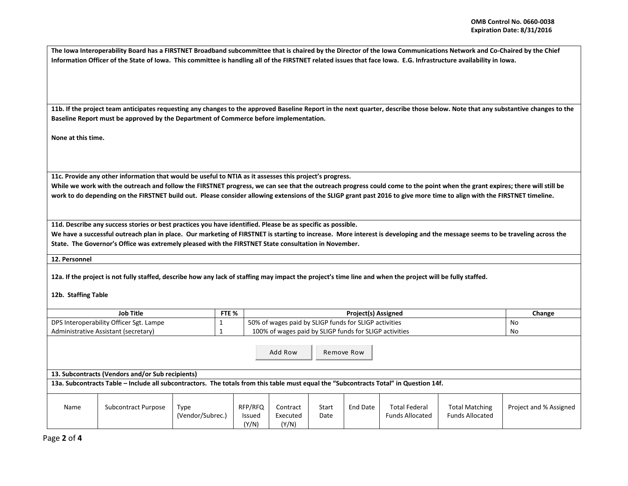**The Iowa Interoperability Board has a FIRSTNET Broadband subcommittee that is chaired by the Director of the Iowa Communications Network and Co-Chaired by the Chief Information Officer of the State of Iowa. This committee is handling all of the FIRSTNET related issues that face Iowa. E.G. Infrastructure availability in Iowa.** 

**11b. If the project team anticipates requesting any changes to the approved Baseline Report in the next quarter, describe those below. Note that any substantive changes to the Baseline Report must be approved by the Department of Commerce before implementation.** 

**None at this time.**

**11c. Provide any other information that would be useful to NTIA as it assesses this project's progress.** 

**While we work with the outreach and follow the FIRSTNET progress, we can see that the outreach progress could come to the point when the grant expires; there will still be work to do depending on the FIRSTNET build out. Please consider allowing extensions of the SLIGP grant past 2016 to give more time to align with the FIRSTNET timeline.** 

**11d. Describe any success stories or best practices you have identified. Please be as specific as possible.**

We have a successful outreach plan in place. Our marketing of FIRSTNET is starting to increase. More interest is developing and the message seems to be traveling across the **State. The Governor's Office was extremely pleased with the FIRSTNET State consultation in November.** 

**12. Personnel** 

**12a. If the project is not fully staffed, describe how any lack of staffing may impact the project's time line and when the project will be fully staffed.**

## **12b. Staffing Table**

| <b>Job Title</b>                        | FTE % | <b>Project(s) Assigned</b>                             | Change |
|-----------------------------------------|-------|--------------------------------------------------------|--------|
| DPS Interoperability Officer Sgt. Lampe |       | 50% of wages paid by SLIGP funds for SLIGP activities  | No     |
| Administrative Assistant (secretary)    |       | 100% of wages paid by SLIGP funds for SLIGP activities | No     |

Add Row  $\overline{\phantom{a}}$ Remove Row

**13. Subcontracts (Vendors and/or Sub recipients)**

**13a. Subcontracts Table – Include all subcontractors. The totals from this table must equal the "Subcontracts Total" in Question 14f.**

| Name | Subcontract Purpose | Type             | RFP/RFQ         | Contract          | Start | End Date | <b>Total Federal</b>   | <b>Total Matching</b>  | Project and % Assigned |
|------|---------------------|------------------|-----------------|-------------------|-------|----------|------------------------|------------------------|------------------------|
|      |                     | (Vendor/Subrec., | Issued<br>(Y/N) | Executed<br>(Y/N) | Date  |          | <b>Funds Allocated</b> | <b>Funds Allocated</b> |                        |

Page **2** of **4**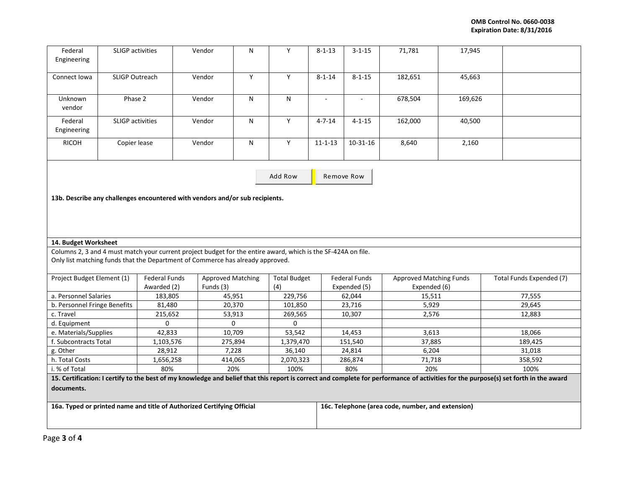| Federal<br>Engineering                                                                                                                                                                          | <b>SLIGP</b> activities                                                      |                                     | Vendor                                | N            | Y                          | $8 - 1 - 13$                                      | $3 - 1 - 15$                         | 71,781                                         | 17,945  |                          |
|-------------------------------------------------------------------------------------------------------------------------------------------------------------------------------------------------|------------------------------------------------------------------------------|-------------------------------------|---------------------------------------|--------------|----------------------------|---------------------------------------------------|--------------------------------------|------------------------------------------------|---------|--------------------------|
| Connect Iowa                                                                                                                                                                                    | SLIGP Outreach                                                               |                                     | Vendor                                | Υ            | Y                          | $8 - 1 - 14$                                      | $8 - 1 - 15$                         | 182,651                                        | 45,663  |                          |
| Unknown<br>vendor                                                                                                                                                                               | Phase 2                                                                      |                                     | Vendor                                | N            | $\mathsf{N}$               | $\omega$                                          | $\omega$                             | 678,504                                        | 169,626 |                          |
| Federal<br>Engineering                                                                                                                                                                          | <b>SLIGP</b> activities                                                      |                                     | Vendor                                | $\mathsf{N}$ | $\overline{Y}$             | $4 - 7 - 14$                                      | $4 - 1 - 15$                         | 162,000                                        | 40,500  |                          |
| <b>RICOH</b>                                                                                                                                                                                    | Copier lease                                                                 |                                     | Vendor                                | ${\sf N}$    | Y                          | $11 - 1 - 13$                                     | $10 - 31 - 16$                       | 8,640                                          | 2,160   |                          |
| Add Row<br>Remove Row                                                                                                                                                                           |                                                                              |                                     |                                       |              |                            |                                                   |                                      |                                                |         |                          |
|                                                                                                                                                                                                 | 13b. Describe any challenges encountered with vendors and/or sub recipients. |                                     |                                       |              |                            |                                                   |                                      |                                                |         |                          |
|                                                                                                                                                                                                 |                                                                              |                                     |                                       |              |                            |                                                   |                                      |                                                |         |                          |
| 14. Budget Worksheet                                                                                                                                                                            |                                                                              |                                     |                                       |              |                            |                                                   |                                      |                                                |         |                          |
| Columns 2, 3 and 4 must match your current project budget for the entire award, which is the SF-424A on file.<br>Only list matching funds that the Department of Commerce has already approved. |                                                                              |                                     |                                       |              |                            |                                                   |                                      |                                                |         |                          |
| Project Budget Element (1)                                                                                                                                                                      |                                                                              | <b>Federal Funds</b><br>Awarded (2) | <b>Approved Matching</b><br>Funds (3) |              | <b>Total Budget</b><br>(4) |                                                   | <b>Federal Funds</b><br>Expended (5) | <b>Approved Matching Funds</b><br>Expended (6) |         | Total Funds Expended (7) |
| a. Personnel Salaries                                                                                                                                                                           |                                                                              | 183,805                             |                                       | 45,951       | 229,756                    |                                                   | 62,044                               | 15,511                                         |         | 77,555                   |
| b. Personnel Fringe Benefits                                                                                                                                                                    |                                                                              | 81,480                              | 20,370                                |              | 101,850                    |                                                   | 23,716                               | 5,929                                          |         | 29,645                   |
| c. Travel                                                                                                                                                                                       |                                                                              | 215,652                             |                                       | 53,913       | 269,565                    |                                                   | 10,307                               | 2,576                                          |         | 12,883                   |
| d. Equipment<br>0                                                                                                                                                                               |                                                                              |                                     | 0                                     |              | 0                          |                                                   |                                      |                                                |         |                          |
| e. Materials/Supplies                                                                                                                                                                           |                                                                              | 42,833                              | 10,709                                |              | 53,542                     |                                                   | 14,453                               | 3,613                                          |         | 18,066                   |
| f. Subcontracts Total                                                                                                                                                                           |                                                                              | 1,103,576                           | 275,894                               |              | 1,379,470                  |                                                   | 151,540                              | 37,885                                         |         | 189,425                  |
| g. Other                                                                                                                                                                                        |                                                                              | 28,912                              | 7,228                                 |              | 36,140                     |                                                   | 24,814                               | 6,204                                          |         | 31,018                   |
| h. Total Costs                                                                                                                                                                                  |                                                                              | 1,656,258                           | 414,065                               |              | 2,070,323                  |                                                   | 286,874                              | 71,718                                         |         | 358,592                  |
| 80%<br>20%<br>100%<br>i. % of Total                                                                                                                                                             |                                                                              |                                     |                                       |              | 80%                        | 20%                                               |                                      | 100%                                           |         |                          |
| 15. Certification: I certify to the best of my knowledge and belief that this report is correct and complete for performance of activities for the purpose(s) set forth in the award            |                                                                              |                                     |                                       |              |                            |                                                   |                                      |                                                |         |                          |
| documents.                                                                                                                                                                                      |                                                                              |                                     |                                       |              |                            |                                                   |                                      |                                                |         |                          |
| 16a. Typed or printed name and title of Authorized Certifying Official                                                                                                                          |                                                                              |                                     |                                       |              |                            | 16c. Telephone (area code, number, and extension) |                                      |                                                |         |                          |